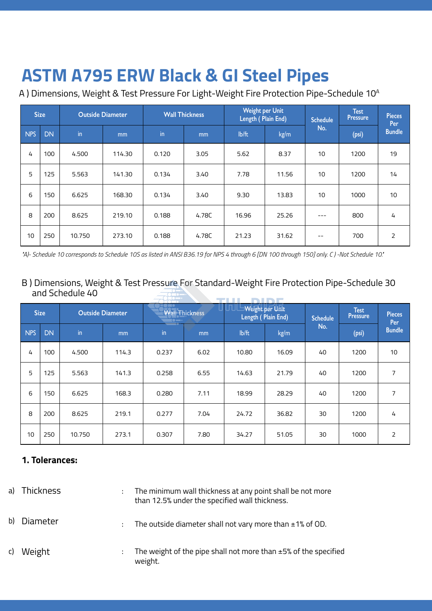# **ASTM A795 ERW Black & GI Steel Pipes ASTM A795 ERW Black & GI Steel Pipes**

A ) Dimensions, Weight & Test Pressure For Light-Weight Fire Protection Pipe-Schedule 10<sup>A</sup>

| <b>Size</b> |           | <b>Outside Diameter</b> |        | <b>Wall Thickness</b> |       | Weight per Unit<br>Length (Plain End) |       | <b>Schedule</b> | <b>Test</b><br><b>Pressure</b> | <b>Pieces</b><br>Per |  |
|-------------|-----------|-------------------------|--------|-----------------------|-------|---------------------------------------|-------|-----------------|--------------------------------|----------------------|--|
| <b>NPS</b>  | <b>DN</b> | in                      | mm     | in                    | mm    | lb/ft                                 | kg/m  | No.             | (psi)                          | <b>Bundle</b>        |  |
| 4           | 100       | 4.500                   | 114.30 | 0.120                 | 3.05  | 5.62                                  | 8.37  | 10              | 1200                           | 19                   |  |
| 5           | 125       | 5.563                   | 141.30 | 0.134                 | 3.40  | 7.78                                  | 11.56 | 10              | 1200                           | 14                   |  |
| 6           | 150       | 6.625                   | 168.30 | 0.134                 | 3.40  | 9.30                                  | 13.83 | 10              | 1000                           | 10                   |  |
| 8           | 200       | 8.625                   | 219.10 | 0.188                 | 4.78C | 16.96                                 | 25.26 | ---             | 800                            | 4                    |  |
| 10          | 250       | 10.750                  | 273.10 | 0.188                 | 4.78C | 21.23                                 | 31.62 | --              | 700                            | 2                    |  |

*"A)- Schedule 10 corresponds to Schedule 10S as listed in ANSI B36.19 for NPS 4 through 6 [DN 100 through 150] only. C ) -Not Schedule 10."*

#### B ) Dimensions, Weight & Test Pressure For Standard-Weight Fire Protection Pipe-Schedule 30 and Schedule 40

| <b>Size</b> |           | <b>Outside Diameter</b> |                | $\sim$<br>Wall Thickness<br>$\bullet$ $\bullet$ |      | $\Box$ $\Box$ $\Box$ Weight per Unit $\Box$<br>Length (Plain End) |       | <b>Schedule</b> | <b>Test</b><br><b>Pressure</b> | <b>Pieces</b><br>Per |
|-------------|-----------|-------------------------|----------------|-------------------------------------------------|------|-------------------------------------------------------------------|-------|-----------------|--------------------------------|----------------------|
| <b>NPS</b>  | <b>DN</b> | $\mathsf{in}$           | m <sub>m</sub> | $\mathsf{in}$                                   | mm   | lb/ft                                                             | kg/m  | No.             | (psi)                          | <b>Bundle</b>        |
| 4           | 100       | 4.500                   | 114.3          | 0.237                                           | 6.02 | 10.80                                                             | 16.09 | 40              | 1200                           | 10                   |
| 5           | 125       | 5.563                   | 141.3          | 0.258                                           | 6.55 | 14.63                                                             | 21.79 | 40              | 1200                           | 7                    |
| 6           | 150       | 6.625                   | 168.3          | 0.280                                           | 7.11 | 18.99                                                             | 28.29 | 40              | 1200                           | 7                    |
| 8           | 200       | 8.625                   | 219.1          | 0.277                                           | 7.04 | 24.72                                                             | 36.82 | 30              | 1200                           | 4                    |
| 10          | 250       | 10.750                  | 273.1          | 0.307                                           | 7.80 | 34.27                                                             | 51.05 | 30              | 1000                           | $\overline{2}$       |

#### **1. Tolerances:**

| a) | Thickness | ٠ | The minimum wall thickness at any point shall be not more<br>than 12.5% under the specified wall thickness. |
|----|-----------|---|-------------------------------------------------------------------------------------------------------------|
| b) | Diameter  | ÷ | The outside diameter shall not vary more than $\pm 1\%$ of OD.                                              |
| C) | Weight    |   | The weight of the pipe shall not more than $\pm$ 5% of the specified<br>weight.                             |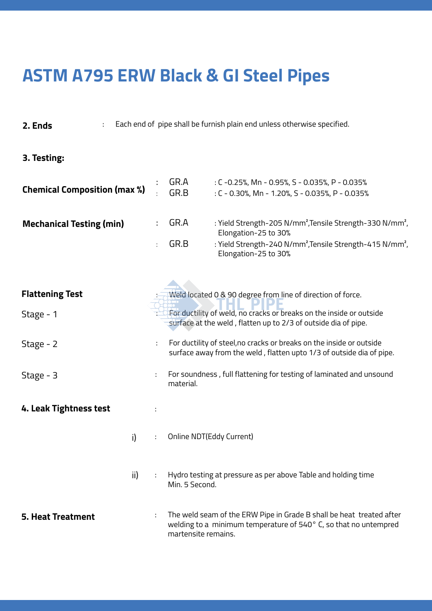### **ASTM A795 ERW Black & GI Steel Pipes ASTM A795 ERW Black & GI Steel Pipes**

**2. Ends** : Each end of pipe shall be furnish plain end unless otherwise specified.

### **3. Testing:**

| <b>Chemical Composition (max %)</b> | GR.A<br>GR.B | : C -0.25%, Mn - 0.95%, S - 0.035%, P - 0.035%<br>: C - 0.30%, Mn - 1.20%, S - 0.035%, P - 0.035%         |
|-------------------------------------|--------------|-----------------------------------------------------------------------------------------------------------|
| <b>Mechanical Testing (min)</b>     | GR.A         | : Yield Strength-205 N/mm <sup>2</sup> , Tensile Strength-330 N/mm <sup>2</sup> ,<br>Elongation-25 to 30% |
|                                     | GR.B         | : Yield Strength-240 N/mm <sup>2</sup> , Tensile Strength-415 N/mm <sup>2</sup> ,<br>Elongation-25 to 30% |

| <b>Flattening Test</b>   |     |    | Weld located 0 & 90 degree from line of direction of force.                                                                                                     |
|--------------------------|-----|----|-----------------------------------------------------------------------------------------------------------------------------------------------------------------|
| Stage - 1                |     |    | For ductility of weld, no cracks or breaks on the inside or outside<br>surface at the weld, flatten up to 2/3 of outside dia of pipe.                           |
| Stage - 2                |     | ÷  | For ductility of steel, no cracks or breaks on the inside or outside<br>surface away from the weld, flatten upto 1/3 of outside dia of pipe.                    |
| Stage - 3                |     |    | For soundness, full flattening for testing of laminated and unsound<br>material.                                                                                |
| 4. Leak Tightness test   |     | ÷  |                                                                                                                                                                 |
|                          | i)  | ÷  | Online NDT(Eddy Current)                                                                                                                                        |
|                          | ii) | t. | Hydro testing at pressure as per above Table and holding time<br>Min. 5 Second.                                                                                 |
| <b>5. Heat Treatment</b> |     | ÷  | The weld seam of the ERW Pipe in Grade B shall be heat treated after<br>welding to a minimum temperature of 540° C, so that no untempred<br>martensite remains. |